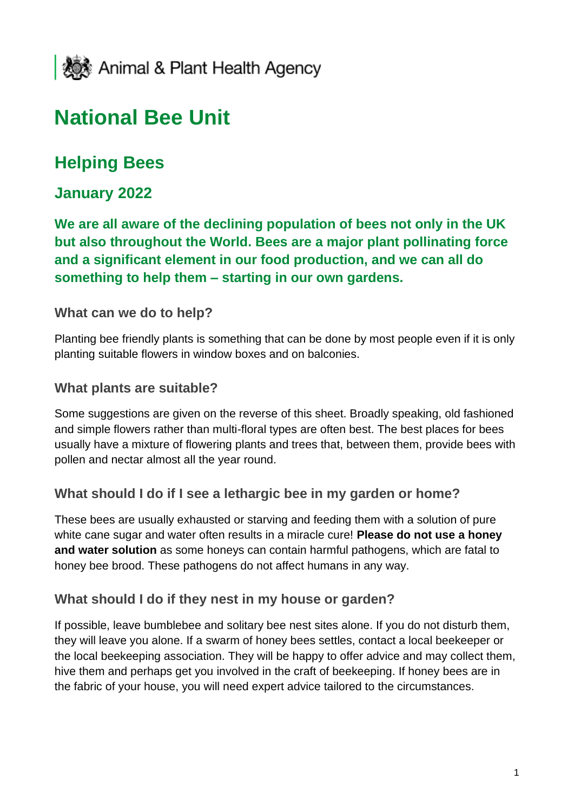

# **National Bee Unit**

# **Helping Bees**

## **January 2022**

**We are all aware of the declining population of bees not only in the UK but also throughout the World. Bees are a major plant pollinating force and a significant element in our food production, and we can all do something to help them – starting in our own gardens.** 

#### **What can we do to help?**

Planting bee friendly plants is something that can be done by most people even if it is only planting suitable flowers in window boxes and on balconies.

#### **What plants are suitable?**

Some suggestions are given on the reverse of this sheet. Broadly speaking, old fashioned and simple flowers rather than multi-floral types are often best. The best places for bees usually have a mixture of flowering plants and trees that, between them, provide bees with pollen and nectar almost all the year round.

#### **What should I do if I see a lethargic bee in my garden or home?**

These bees are usually exhausted or starving and feeding them with a solution of pure white cane sugar and water often results in a miracle cure! **Please do not use a honey and water solution** as some honeys can contain harmful pathogens, which are fatal to honey bee brood. These pathogens do not affect humans in any way.

#### **What should I do if they nest in my house or garden?**

If possible, leave bumblebee and solitary bee nest sites alone. If you do not disturb them, they will leave you alone. If a swarm of honey bees settles, contact a local beekeeper or the local beekeeping association. They will be happy to offer advice and may collect them, hive them and perhaps get you involved in the craft of beekeeping. If honey bees are in the fabric of your house, you will need expert advice tailored to the circumstances.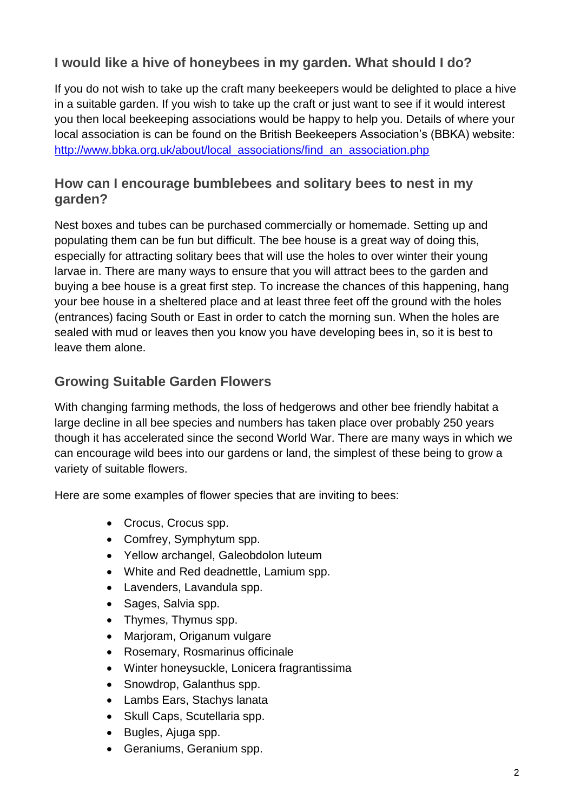## **I would like a hive of honeybees in my garden. What should I do?**

If you do not wish to take up the craft many beekeepers would be delighted to place a hive in a suitable garden. If you wish to take up the craft or just want to see if it would interest you then local beekeeping associations would be happy to help you. Details of where your local association is can be found on the British Beekeepers Association's (BBKA) website: [http://www.bbka.org.uk/about/local\\_associations/find\\_an\\_association.php](http://www.bbka.org.uk/about/local_associations/find_an_association.php)

#### **How can I encourage bumblebees and solitary bees to nest in my garden?**

Nest boxes and tubes can be purchased commercially or homemade. Setting up and populating them can be fun but difficult. The bee house is a great way of doing this, especially for attracting solitary bees that will use the holes to over winter their young larvae in. There are many ways to ensure that you will attract bees to the garden and buying a bee house is a great first step. To increase the chances of this happening, hang your bee house in a sheltered place and at least three feet off the ground with the holes (entrances) facing South or East in order to catch the morning sun. When the holes are sealed with mud or leaves then you know you have developing bees in, so it is best to leave them alone.

#### **Growing Suitable Garden Flowers**

With changing farming methods, the loss of hedgerows and other bee friendly habitat a large decline in all bee species and numbers has taken place over probably 250 years though it has accelerated since the second World War. There are many ways in which we can encourage wild bees into our gardens or land, the simplest of these being to grow a variety of suitable flowers.

Here are some examples of flower species that are inviting to bees:

- Crocus, Crocus spp.
- Comfrey, Symphytum spp.
- Yellow archangel, Galeobdolon luteum
- White and Red deadnettle, Lamium spp.
- Lavenders, Lavandula spp.
- Sages, Salvia spp.
- Thymes, Thymus spp.
- Marjoram, Origanum vulgare
- Rosemary, Rosmarinus officinale
- Winter honeysuckle, Lonicera fragrantissima
- Snowdrop, Galanthus spp.
- Lambs Ears, Stachys lanata
- Skull Caps, Scutellaria spp.
- Bugles, Ajuga spp.
- Geraniums, Geranium spp.